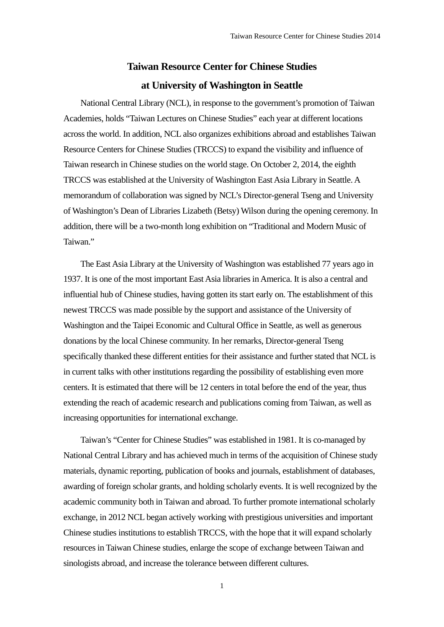## **Taiwan Resource Center for Chinese Studies at University of Washington in Seattle**

National Central Library (NCL), in response to the government's promotion of Taiwan Academies, holds "Taiwan Lectures on Chinese Studies" each year at different locations across the world. In addition, NCL also organizes exhibitions abroad and establishes Taiwan Resource Centers for Chinese Studies (TRCCS) to expand the visibility and influence of Taiwan research in Chinese studies on the world stage. On October 2, 2014, the eighth TRCCS was established at the University of Washington East Asia Library in Seattle. A memorandum of collaboration was signed by NCL's Director-general Tseng and University of Washington's Dean of Libraries Lizabeth (Betsy) Wilson during the opening ceremony. In addition, there will be a two-month long exhibition on "Traditional and Modern Music of Taiwan."

The East Asia Library at the University of Washington was established 77 years ago in 1937. It is one of the most important East Asia libraries in America. It is also a central and influential hub of Chinese studies, having gotten its start early on. The establishment of this newest TRCCS was made possible by the support and assistance of the University of Washington and the Taipei Economic and Cultural Office in Seattle, as well as generous donations by the local Chinese community. In her remarks, Director-general Tseng specifically thanked these different entities for their assistance and further stated that NCL is in current talks with other institutions regarding the possibility of establishing even more centers. It is estimated that there will be 12 centers in total before the end of the year, thus extending the reach of academic research and publications coming from Taiwan, as well as increasing opportunities for international exchange.

Taiwan's "Center for Chinese Studies" was established in 1981. It is co-managed by National Central Library and has achieved much in terms of the acquisition of Chinese study materials, dynamic reporting, publication of books and journals, establishment of databases, awarding of foreign scholar grants, and holding scholarly events. It is well recognized by the academic community both in Taiwan and abroad. To further promote international scholarly exchange, in 2012 NCL began actively working with prestigious universities and important Chinese studies institutions to establish TRCCS, with the hope that it will expand scholarly resources in Taiwan Chinese studies, enlarge the scope of exchange between Taiwan and sinologists abroad, and increase the tolerance between different cultures.